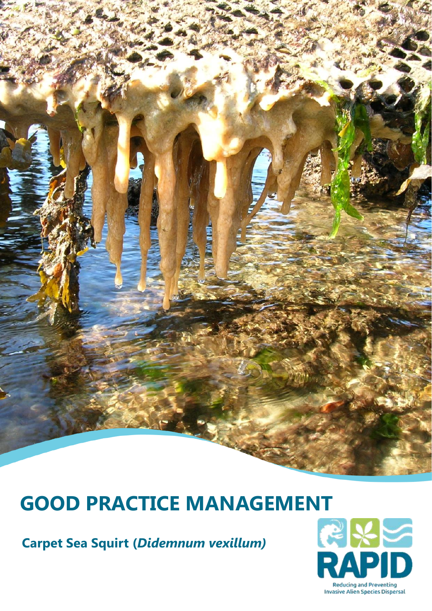# **GOOD PRACTICE MANAGEMENT**<br> **Carpet Sea Squirt (Didemnum vexillum)**<br> **RAPID**

**Carpet Sea Squirt (***Didemnum vexillum)*

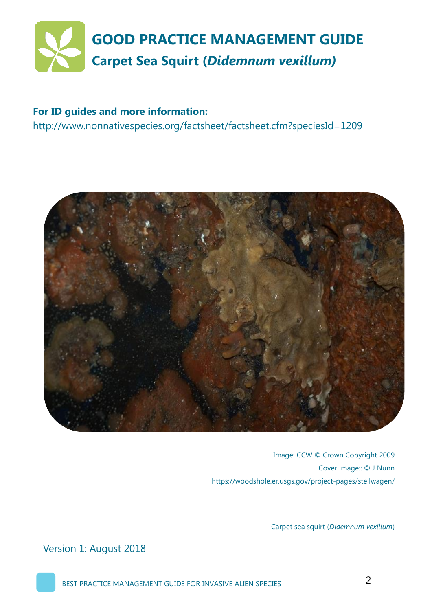

#### **For ID guides and more information:**

http://www.nonnativespecies.org/factsheet/factsheet.cfm?speciesId=1209



Image: CCW © Crown Copyright 2009 Cover image:: © J Nunn https://woodshole.er.usgs.gov/project-pages/stellwagen/

Carpet sea squirt (*Didemnum vexillum*)

Version 1: August 2018

BEST PRACTICE MANAGEMENT GUIDE FOR INVASIVE ALIEN SPECIES 2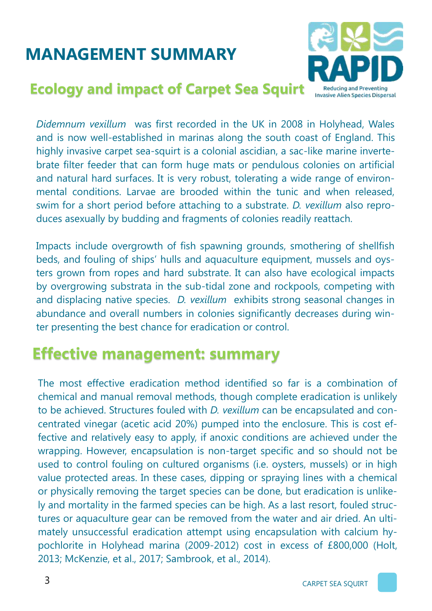# **MANAGEMENT SUMMARY**





*Didemnum vexillum* was first recorded in the UK in 2008 in Holyhead, Wales and is now well-established in marinas along the south coast of England. This highly invasive carpet sea-squirt is a colonial ascidian, a sac-like marine invertebrate filter feeder that can form huge mats or pendulous colonies on artificial and natural hard surfaces. It is very robust, tolerating a wide range of environmental conditions. Larvae are brooded within the tunic and when released, swim for a short period before attaching to a substrate. *D. vexillum* also reproduces asexually by budding and fragments of colonies readily reattach.

Impacts include overgrowth of fish spawning grounds, smothering of shellfish beds, and fouling of ships' hulls and aquaculture equipment, mussels and oysters grown from ropes and hard substrate. It can also have ecological impacts by overgrowing substrata in the sub-tidal zone and rockpools, competing with and displacing native species. *D. vexillum* exhibits strong seasonal changes in abundance and overall numbers in colonies significantly decreases during winter presenting the best chance for eradication or control.

#### **Effective management: summary**

The most effective eradication method identified so far is a combination of chemical and manual removal methods, though complete eradication is unlikely to be achieved. Structures fouled with *D. vexillum* can be encapsulated and concentrated vinegar (acetic acid 20%) pumped into the enclosure. This is cost effective and relatively easy to apply, if anoxic conditions are achieved under the wrapping. However, encapsulation is non-target specific and so should not be used to control fouling on cultured organisms (i.e. oysters, mussels) or in high value protected areas. In these cases, dipping or spraying lines with a chemical or physically removing the target species can be done, but eradication is unlikely and mortality in the farmed species can be high. As a last resort, fouled structures or aquaculture gear can be removed from the water and air dried. An ultimately unsuccessful eradication attempt using encapsulation with calcium hypochlorite in Holyhead marina (2009-2012) cost in excess of £800,000 (Holt, 2013; McKenzie, et al., 2017; Sambrook, et al., 2014).

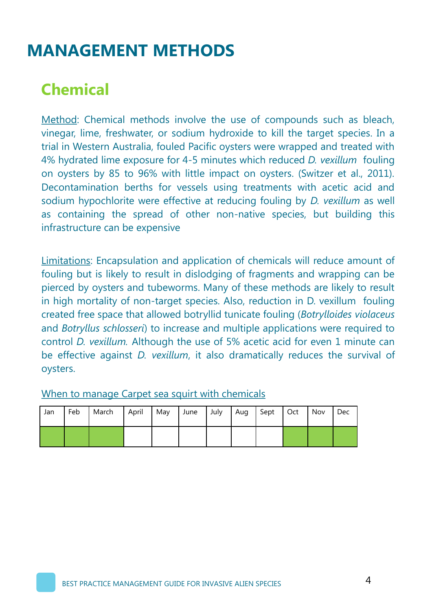## **MANAGEMENT METHODS**

## **Chemical**

Method: Chemical methods involve the use of compounds such as bleach, vinegar, lime, freshwater, or sodium hydroxide to kill the target species. In a trial in Western Australia, fouled Pacific oysters were wrapped and treated with 4% hydrated lime exposure for 4-5 minutes which reduced *D. vexillum* fouling on oysters by 85 to 96% with little impact on oysters. (Switzer et al., 2011). Decontamination berths for vessels using treatments with acetic acid and sodium hypochlorite were effective at reducing fouling by *D. vexillum* as well as containing the spread of other non-native species, but building this infrastructure can be expensive

Limitations: Encapsulation and application of chemicals will reduce amount of fouling but is likely to result in dislodging of fragments and wrapping can be pierced by oysters and tubeworms. Many of these methods are likely to result in high mortality of non-target species. Also, reduction in D. vexillum fouling created free space that allowed botryllid tunicate fouling (*Botrylloides violaceus*  and *Botryllus schlosseri*) to increase and multiple applications were required to control *D. vexillum.* Although the use of 5% acetic acid for even 1 minute can be effective against *D. vexillum*, it also dramatically reduces the survival of oysters.

#### When to manage Carpet sea squirt with chemicals

| Jan | Feb | March   April   May   June   July   Aug   Sept   Oct |  |  |  | Nov | Dec |
|-----|-----|------------------------------------------------------|--|--|--|-----|-----|
|     |     |                                                      |  |  |  |     |     |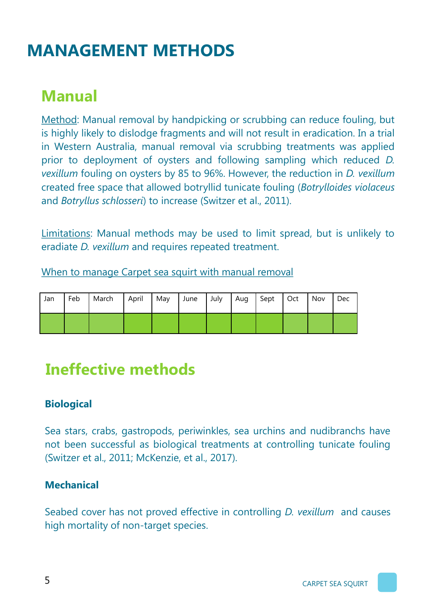# **MANAGEMENT METHODS**

## **Manual**

Method: Manual removal by handpicking or scrubbing can reduce fouling, but is highly likely to dislodge fragments and will not result in eradication. In a trial in Western Australia, manual removal via scrubbing treatments was applied prior to deployment of oysters and following sampling which reduced *D. vexillum* fouling on oysters by 85 to 96%. However, the reduction in *D. vexillum*  created free space that allowed botryllid tunicate fouling (*Botrylloides violaceus* and *Botryllus schlosseri*) to increase (Switzer et al., 2011).

Limitations: Manual methods may be used to limit spread, but is unlikely to eradiate *D. vexillum* and requires repeated treatment.

When to manage Carpet sea squirt with manual removal

| Jan | Feb March April May |  | June July Aug Sept Oct |  |  | Nov | Dec |
|-----|---------------------|--|------------------------|--|--|-----|-----|
|     |                     |  |                        |  |  |     |     |

#### **Ineffective methods**

#### **Biological**

Sea stars, crabs, gastropods, periwinkles, sea urchins and nudibranchs have not been successful as biological treatments at controlling tunicate fouling (Switzer et al., 2011; McKenzie, et al., 2017).

#### **Mechanical**

Seabed cover has not proved effective in controlling *D. vexillum* and causes high mortality of non-target species.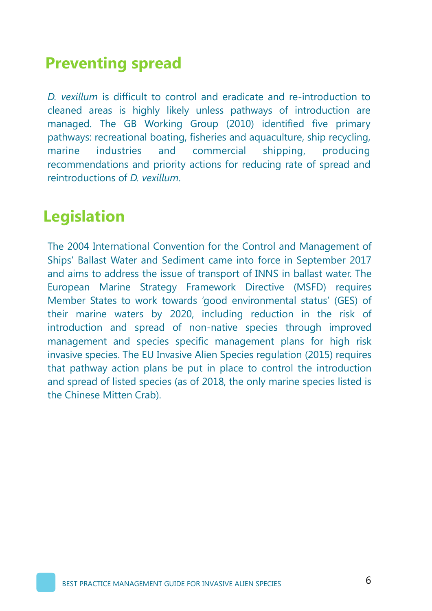#### **Preventing spread**

*D. vexillum* is difficult to control and eradicate and re-introduction to cleaned areas is highly likely unless pathways of introduction are managed. The GB Working Group (2010) identified five primary pathways: recreational boating, fisheries and aquaculture, ship recycling, marine industries and commercial shipping, producing recommendations and priority actions for reducing rate of spread and reintroductions of *D. vexillum*.

## **Legislation**

The 2004 International Convention for the Control and Management of Ships' Ballast Water and Sediment came into force in September 2017 and aims to address the issue of transport of INNS in ballast water. The European Marine Strategy Framework Directive (MSFD) requires Member States to work towards 'good environmental status' (GES) of their marine waters by 2020, including reduction in the risk of introduction and spread of non-native species through improved management and species specific management plans for high risk invasive species. The EU Invasive Alien Species regulation (2015) requires that pathway action plans be put in place to control the introduction and spread of listed species (as of 2018, the only marine species listed is the Chinese Mitten Crab).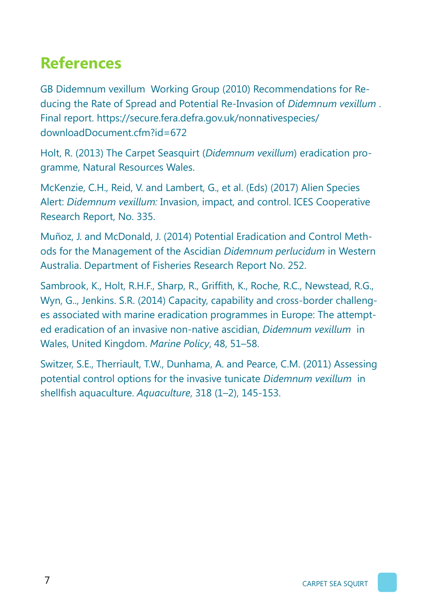## **References**

GB Didemnum vexillum Working Group (2010) Recommendations for Reducing the Rate of Spread and Potential Re-Invasion of *Didemnum vexillum* . Final report. https://secure.fera.defra.gov.uk/nonnativespecies/ downloadDocument.cfm?id=672

Holt, R. (2013) The Carpet Seasquirt (*Didemnum vexillum*) eradication programme, Natural Resources Wales.

McKenzie, C.H., Reid, V. and Lambert, G., et al. (Eds) (2017) Alien Species Alert: *Didemnum vexillum:* Invasion, impact, and control. ICES Cooperative Research Report, No. 335.

Muñoz, J. and McDonald, J. (2014) Potential Eradication and Control Methods for the Management of the Ascidian *Didemnum perlucidum* in Western Australia. Department of Fisheries Research Report No. 252.

Sambrook, K., Holt, R.H.F., Sharp, R., Griffith, K., Roche, R.C., Newstead, R.G., Wyn, G.., Jenkins. S.R. (2014) Capacity, capability and cross-border challenges associated with marine eradication programmes in Europe: The attempted eradication of an invasive non-native ascidian, *Didemnum vexillum* in Wales, United Kingdom. *Marine Policy*, 48, 51–58.

Switzer, S.E., Therriault, T.W., Dunhama, A. and Pearce, C.M. (2011) Assessing potential control options for the invasive tunicate *Didemnum vexillum* in shellfish aquaculture. *Aquaculture*, 318 (1–2), 145-153.